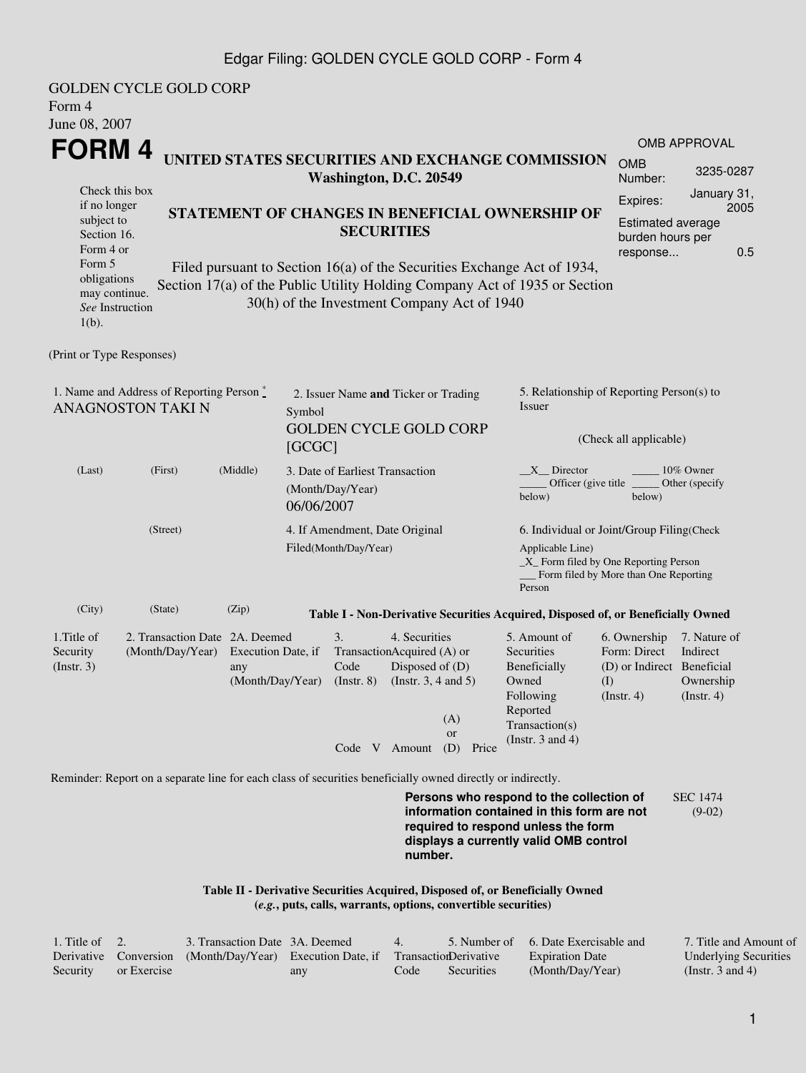#### Edgar Filing: GOLDEN CYCLE GOLD CORP - Form 4

| Form 4<br>June 08, 2007                                                                                                                           | <b>GOLDEN CYCLE GOLD CORP</b>                                                                               |                                               |                                                                   |                                                                              |                                                                                       |                                             |                                                                                                                                                                                                          |                                                                                  |                                                                                                                              |  |
|---------------------------------------------------------------------------------------------------------------------------------------------------|-------------------------------------------------------------------------------------------------------------|-----------------------------------------------|-------------------------------------------------------------------|------------------------------------------------------------------------------|---------------------------------------------------------------------------------------|---------------------------------------------|----------------------------------------------------------------------------------------------------------------------------------------------------------------------------------------------------------|----------------------------------------------------------------------------------|------------------------------------------------------------------------------------------------------------------------------|--|
| FORM 4                                                                                                                                            |                                                                                                             |                                               |                                                                   |                                                                              |                                                                                       |                                             | UNITED STATES SECURITIES AND EXCHANGE COMMISSION                                                                                                                                                         |                                                                                  | OMB APPROVAL                                                                                                                 |  |
|                                                                                                                                                   | <b>OMB</b><br>Number:                                                                                       | 3235-0287                                     |                                                                   |                                                                              |                                                                                       |                                             |                                                                                                                                                                                                          |                                                                                  |                                                                                                                              |  |
| Check this box<br>if no longer<br>subject to<br>Section 16.<br>Form 4 or<br>Form 5<br>obligations<br>may continue.<br>See Instruction<br>$1(b)$ . |                                                                                                             |                                               |                                                                   | <b>SECURITIES</b>                                                            |                                                                                       | 30(h) of the Investment Company Act of 1940 | STATEMENT OF CHANGES IN BENEFICIAL OWNERSHIP OF<br>Filed pursuant to Section 16(a) of the Securities Exchange Act of 1934,<br>Section 17(a) of the Public Utility Holding Company Act of 1935 or Section | Expires:<br><b>Estimated average</b><br>burden hours per<br>response             | January 31,<br>2005<br>0.5                                                                                                   |  |
| (Print or Type Responses)                                                                                                                         |                                                                                                             |                                               |                                                                   |                                                                              |                                                                                       |                                             |                                                                                                                                                                                                          |                                                                                  |                                                                                                                              |  |
| 1. Name and Address of Reporting Person $\degree$<br><b>ANAGNOSTON TAKI N</b><br>Symbol<br>[GCGC]                                                 |                                                                                                             |                                               |                                                                   | 2. Issuer Name and Ticker or Trading<br><b>GOLDEN CYCLE GOLD CORP</b>        |                                                                                       |                                             | 5. Relationship of Reporting Person(s) to<br>Issuer<br>(Check all applicable)                                                                                                                            |                                                                                  |                                                                                                                              |  |
| (Last)                                                                                                                                            | (First)                                                                                                     | (Middle)                                      | 3. Date of Earliest Transaction<br>(Month/Day/Year)<br>06/06/2007 |                                                                              |                                                                                       |                                             | $X$ Director<br>10% Owner<br>Officer (give title)<br>Other (specify<br>below)<br>below)                                                                                                                  |                                                                                  |                                                                                                                              |  |
| (Street)                                                                                                                                          |                                                                                                             |                                               |                                                                   |                                                                              | 4. If Amendment, Date Original<br>Filed(Month/Day/Year)<br>Applicable Line)<br>Person |                                             |                                                                                                                                                                                                          |                                                                                  | 6. Individual or Joint/Group Filing(Check<br>_X_ Form filed by One Reporting Person<br>Form filed by More than One Reporting |  |
| (City)                                                                                                                                            | (State)                                                                                                     | (Zip)                                         |                                                                   |                                                                              |                                                                                       |                                             | Table I - Non-Derivative Securities Acquired, Disposed of, or Beneficially Owned                                                                                                                         |                                                                                  |                                                                                                                              |  |
| 1.Title of<br>Security<br>$($ Instr. 3 $)$                                                                                                        | 2. Transaction Date 2A. Deemed<br>(Month/Day/Year)                                                          | Execution Date, if<br>any<br>(Month/Day/Year) |                                                                   | 3.<br>TransactionAcquired (A) or<br>Code<br>$($ Instr. $8)$<br>Code V Amount | 4. Securities<br>Disposed of $(D)$<br>(Instr. $3, 4$ and $5$ )                        | (A)<br><b>or</b><br>(D)<br>Price            | 5. Amount of<br>Securities<br>Beneficially<br>Owned<br>Following<br>Reported<br>Transaction(s)<br>(Instr. $3$ and $4$ )                                                                                  | 6. Ownership<br>Form: Direct<br>(D) or Indirect Beneficial<br>(I)<br>(Insert. 4) | 7. Nature of<br>Indirect<br>Ownership<br>$($ Instr. 4 $)$                                                                    |  |
|                                                                                                                                                   | Reminder: Report on a separate line for each class of securities beneficially owned directly or indirectly. |                                               |                                                                   |                                                                              |                                                                                       |                                             | Persons who respond to the collection of                                                                                                                                                                 |                                                                                  | <b>SEC 1474</b>                                                                                                              |  |
|                                                                                                                                                   |                                                                                                             |                                               |                                                                   |                                                                              |                                                                                       |                                             | information contained in this form are not<br>required to respond unless the form                                                                                                                        |                                                                                  | $(9-02)$                                                                                                                     |  |

**Table II - Derivative Securities Acquired, Disposed of, or Beneficially Owned (***e.g.***, puts, calls, warrants, options, convertible securities)**

| $\therefore$ Title of 2. |             | 3. Transaction Date 3A. Deemed                                                   |     | $\sim$ 4 |            | 5. Number of 6. Date Exercisable and | 7. Title and Amount of       |
|--------------------------|-------------|----------------------------------------------------------------------------------|-----|----------|------------|--------------------------------------|------------------------------|
|                          |             | Derivative Conversion (Month/Day/Year) Execution Date, if Transaction Derivative |     |          |            | <b>Expiration Date</b>               | <b>Underlying Securities</b> |
| Security                 | or Exercise |                                                                                  | any | Code     | Securities | (Month/Day/Year)                     | (Instr. 3 and 4)             |

**number.**

**displays a currently valid OMB control**